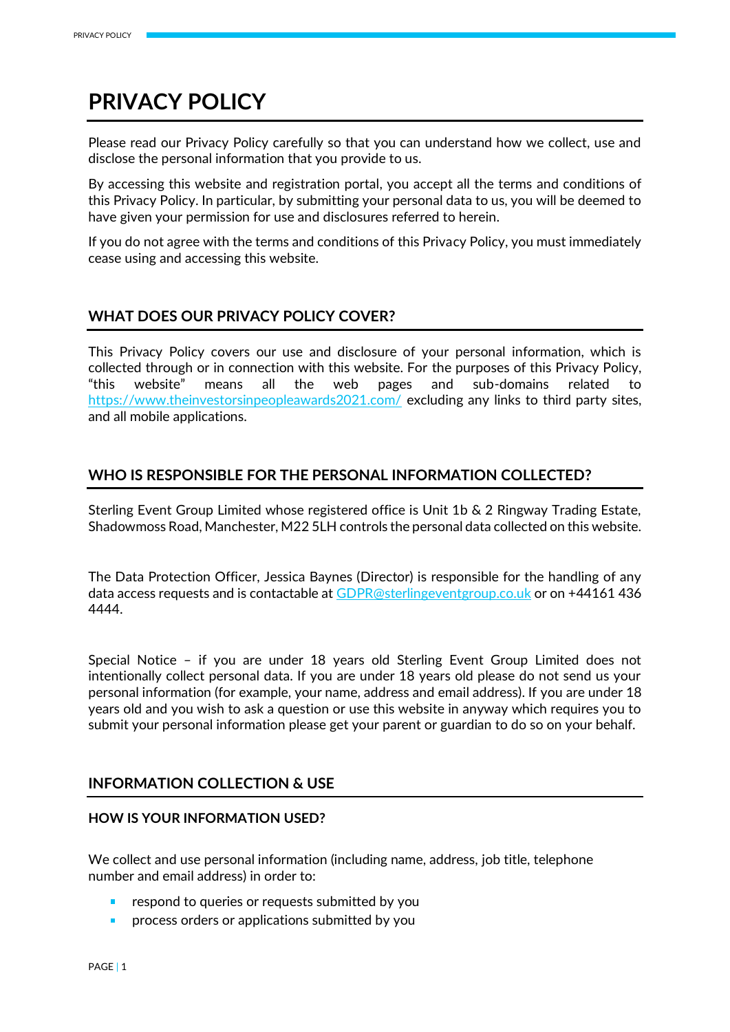# **PRIVACY POLICY**

Please read our Privacy Policy carefully so that you can understand how we collect, use and disclose the personal information that you provide to us.

By accessing this website and registration portal, you accept all the terms and conditions of this Privacy Policy. In particular, by submitting your personal data to us, you will be deemed to have given your permission for use and disclosures referred to herein.

If you do not agree with the terms and conditions of this Privacy Policy, you must immediately cease using and accessing this website.

# **WHAT DOES OUR PRIVACY POLICY COVER?**

This Privacy Policy covers our use and disclosure of your personal information, which is collected through or in connection with this website. For the purposes of this Privacy Policy, "this website" means all the web pages and sub-domains related to <https://www.theinvestorsinpeopleawards2021.com/> excluding any links to third party sites, and all mobile applications.

# **WHO IS RESPONSIBLE FOR THE PERSONAL INFORMATION COLLECTED?**

Sterling Event Group Limited whose registered office is Unit 1b & 2 Ringway Trading Estate, Shadowmoss Road, Manchester, M22 5LH controls the personal data collected on this website.

The Data Protection Officer, Jessica Baynes (Director) is responsible for the handling of any data access requests and is contactable at [GDPR@sterlingeventgroup.co.uk](mailto:GDPR@sterlingeventgroup.co.uk) or on +44161 436 4444.

Special Notice – if you are under 18 years old Sterling Event Group Limited does not intentionally collect personal data. If you are under 18 years old please do not send us your personal information (for example, your name, address and email address). If you are under 18 years old and you wish to ask a question or use this website in anyway which requires you to submit your personal information please get your parent or guardian to do so on your behalf.

# **INFORMATION COLLECTION & USE**

## **HOW IS YOUR INFORMATION USED?**

We collect and use personal information (including name, address, job title, telephone number and email address) in order to:

- respond to queries or requests submitted by you
- process orders or applications submitted by you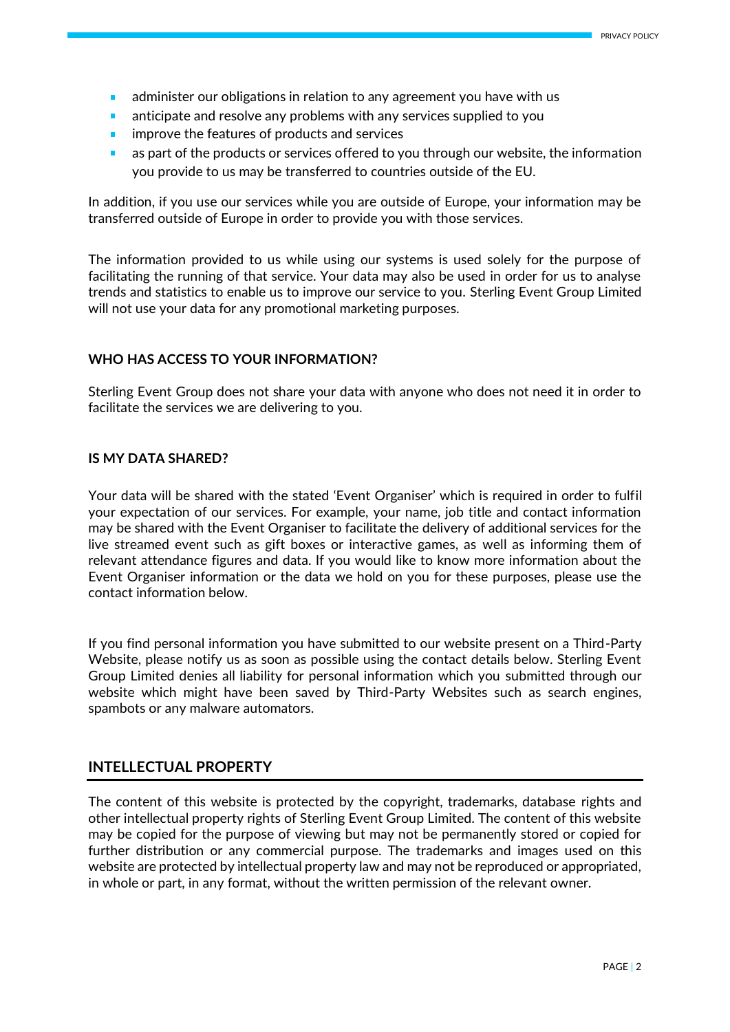- administer our obligations in relation to any agreement you have with us Î.
- anticipate and resolve any problems with any services supplied to you ×
- improve the features of products and services ٠
- as part of the products or services offered to you through our website, the information you provide to us may be transferred to countries outside of the EU.

In addition, if you use our services while you are outside of Europe, your information may be transferred outside of Europe in order to provide you with those services.

The information provided to us while using our systems is used solely for the purpose of facilitating the running of that service. Your data may also be used in order for us to analyse trends and statistics to enable us to improve our service to you. Sterling Event Group Limited will not use your data for any promotional marketing purposes.

## **WHO HAS ACCESS TO YOUR INFORMATION?**

Sterling Event Group does not share your data with anyone who does not need it in order to facilitate the services we are delivering to you.

#### **IS MY DATA SHARED?**

Your data will be shared with the stated 'Event Organiser' which is required in order to fulfil your expectation of our services. For example, your name, job title and contact information may be shared with the Event Organiser to facilitate the delivery of additional services for the live streamed event such as gift boxes or interactive games, as well as informing them of relevant attendance figures and data. If you would like to know more information about the Event Organiser information or the data we hold on you for these purposes, please use the contact information below.

If you find personal information you have submitted to our website present on a Third-Party Website, please notify us as soon as possible using the contact details below. Sterling Event Group Limited denies all liability for personal information which you submitted through our website which might have been saved by Third-Party Websites such as search engines, spambots or any malware automators.

## **INTELLECTUAL PROPERTY**

The content of this website is protected by the copyright, trademarks, database rights and other intellectual property rights of Sterling Event Group Limited. The content of this website may be copied for the purpose of viewing but may not be permanently stored or copied for further distribution or any commercial purpose. The trademarks and images used on this website are protected by intellectual property law and may not be reproduced or appropriated, in whole or part, in any format, without the written permission of the relevant owner.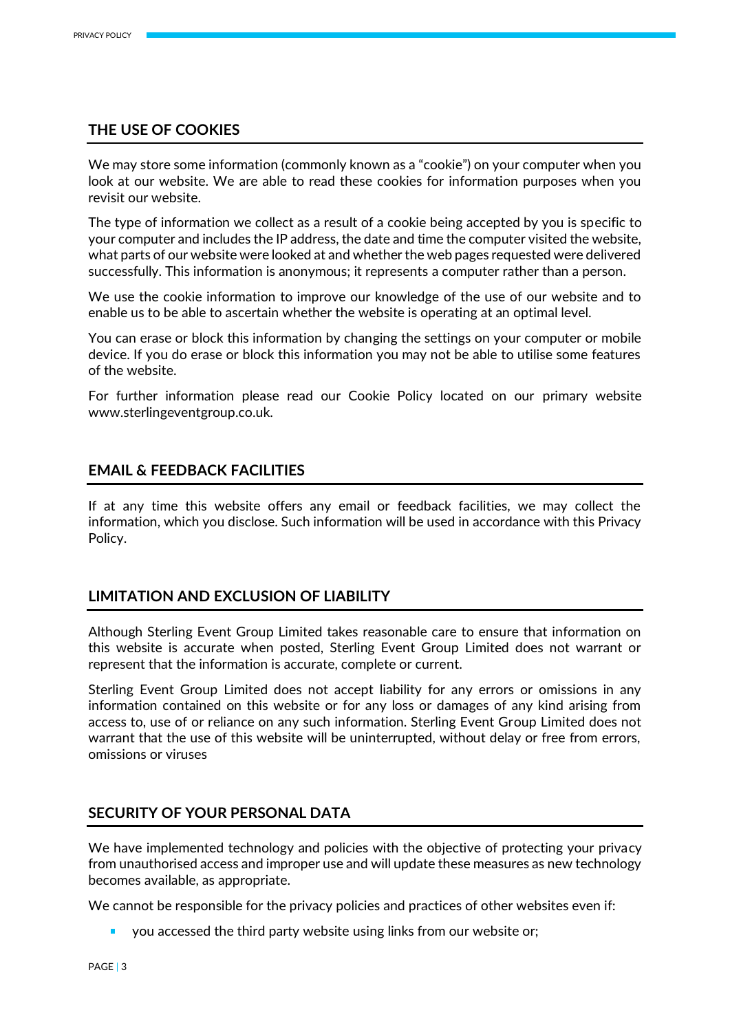## **THE USE OF COOKIES**

We may store some information (commonly known as a "cookie") on your computer when you look at our website. We are able to read these cookies for information purposes when you revisit our website.

The type of information we collect as a result of a cookie being accepted by you is specific to your computer and includes the IP address, the date and time the computer visited the website, what parts of our website were looked at and whether the web pages requested were delivered successfully. This information is anonymous; it represents a computer rather than a person.

We use the cookie information to improve our knowledge of the use of our website and to enable us to be able to ascertain whether the website is operating at an optimal level.

You can erase or block this information by changing the settings on your computer or mobile device. If you do erase or block this information you may not be able to utilise some features of the website.

For further information please read our Cookie Policy located on our primary website www.sterlingeventgroup.co.uk.

## **EMAIL & FEEDBACK FACILITIES**

If at any time this website offers any email or feedback facilities, we may collect the information, which you disclose. Such information will be used in accordance with this Privacy Policy.

## **LIMITATION AND EXCLUSION OF LIABILITY**

Although Sterling Event Group Limited takes reasonable care to ensure that information on this website is accurate when posted, Sterling Event Group Limited does not warrant or represent that the information is accurate, complete or current.

Sterling Event Group Limited does not accept liability for any errors or omissions in any information contained on this website or for any loss or damages of any kind arising from access to, use of or reliance on any such information. Sterling Event Group Limited does not warrant that the use of this website will be uninterrupted, without delay or free from errors, omissions or viruses

## **SECURITY OF YOUR PERSONAL DATA**

We have implemented technology and policies with the objective of protecting your privacy from unauthorised access and improper use and will update these measures as new technology becomes available, as appropriate.

We cannot be responsible for the privacy policies and practices of other websites even if:

you accessed the third party website using links from our website or;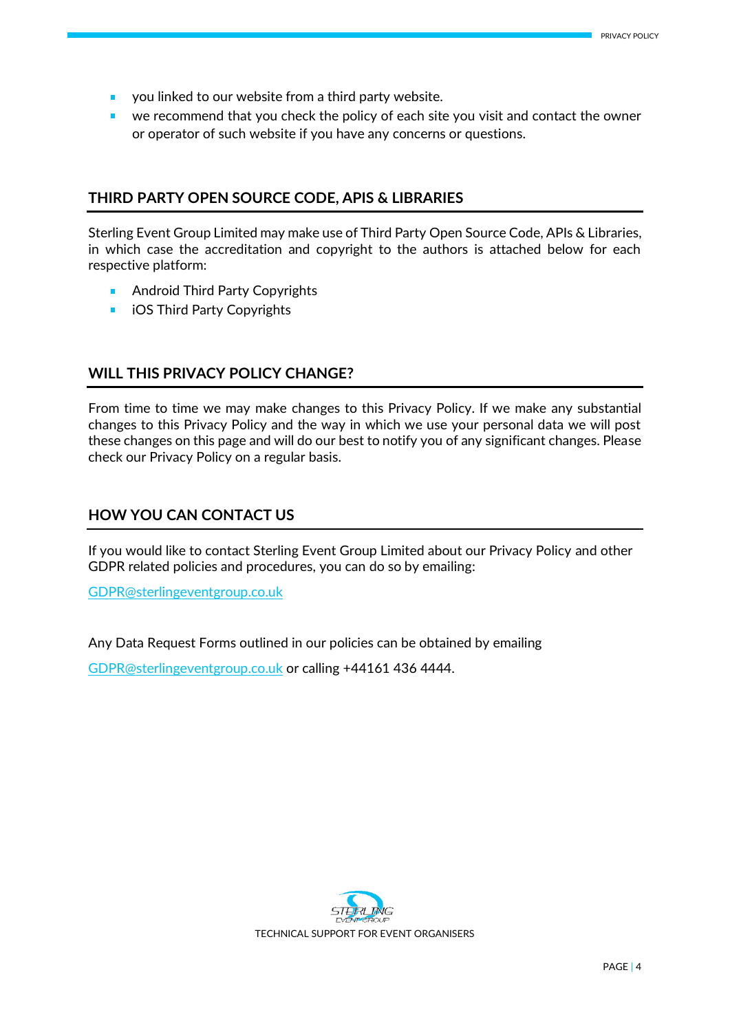- **v** you linked to our website from a third party website.
- **E** we recommend that you check the policy of each site you visit and contact the owner or operator of such website if you have any concerns or questions.

# **THIRD PARTY OPEN SOURCE CODE, APIS & LIBRARIES**

Sterling Event Group Limited may make use of Third Party Open Source Code, APIs & Libraries, in which case the accreditation and copyright to the authors is attached below for each respective platform:

- Android Third Party Copyrights
- **i** iOS Third Party Copyrights

# **WILL THIS PRIVACY POLICY CHANGE?**

From time to time we may make changes to this Privacy Policy. If we make any substantial changes to this Privacy Policy and the way in which we use your personal data we will post these changes on this page and will do our best to notify you of any significant changes. Please check our Privacy Policy on a regular basis.

# **HOW YOU CAN CONTACT US**

If you would like to contact Sterling Event Group Limited about our Privacy Policy and other GDPR related policies and procedures, you can do so by emailing:

[GDPR@sterlingeventgroup.co.uk](mailto:GDPR@sterlingeventgroup.co.uk)

Any Data Request Forms outlined in our policies can be obtained by emailing

[GDPR@sterlingeventgroup.co.uk](mailto:GDPR@sterlingeventgroup.co.uk) or calling +44161 436 4444.